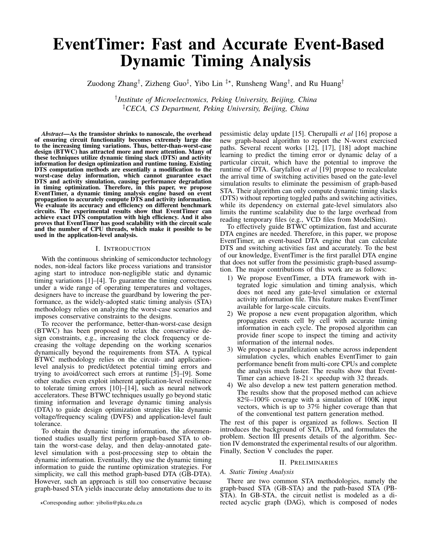# EventTimer: Fast and Accurate Event-Based Dynamic Timing Analysis

Zuodong Zhang<sup>†</sup>, Zizheng Guo<sup>‡</sup>, Yibo Lin <sup>‡\*</sup>, Runsheng Wang<sup>†</sup>, and Ru Huang<sup>†</sup>

† *Institute of Microelectronics, Peking University, Beijing, China* ‡*CECA, CS Department, Peking University, Beijing, China*

*Abstract*—As the transistor shrinks to nanoscale, the overhead of ensuring circuit functionality becomes extremely large due to the increasing timing variations. Thus, better-than-worst-case design (BTWC) has attracted more and more attention. Many of these techniques utilize dynamic timing slack (DTS) and activity information for design optimization and runtime tuning. Existing DTS computation methods are essentially a modification to the worst-case delay information, which cannot guarantee exact DTS and activity simulation, causing performance degradation in timing optimization. Therefore, in this paper, we propose EventTimer, a dynamic timing analysis engine based on event propagation to accurately compute DTS and activity information. We evaluate its accuracy and efficiency on different benchmark circuits. The experimental results show that EventTimer can achieve exact DTS computation with high efficiency. And it also proves that EventTimer has good scalability with the circuit scale and the number of CPU threads, which make it possible to be used in the application-level analysis.

#### I. INTRODUCTION

With the continuous shrinking of semiconductor technology nodes, non-ideal factors like process variations and transistor aging start to introduce non-negligible static and dynamic timing variations [1]–[4]. To guarantee the timing correctness under a wide range of operating temperatures and voltages, designers have to increase the guardband by lowering the performance, as the widely-adopted static timing analysis (STA) methodology relies on analyzing the worst-case scenarios and imposes conservative constraints to the designs.

To recover the performance, better-than-worst-case design (BTWC) has been proposed to relax the conservative design constraints, e.g., increasing the clock frequency or decreasing the voltage depending on the working scenarios dynamically beyond the requirements from STA. A typical BTWC methodology relies on the circuit- and applicationlevel analysis to predict/detect potential timing errors and trying to avoid/correct such errors at runtime [5]–[9]. Some other studies even exploit inherent application-level resilience to tolerate timing errors [10]–[14], such as neural network accelerators. These BTWC techniques usually go beyond static timing information and leverage dynamic timing analysis (DTA) to guide design optimization strategies like dynamic voltage/frequency scaling (DVFS) and application-level fault tolerance.

To obtain the dynamic timing information, the aforementioned studies usually first perform graph-based STA to obtain the worst-case delay, and then delay-annotated gatelevel simulation with a post-processing step to obtain the dynamic information. Eventually, they use the dynamic timing information to guide the runtime optimization strategies. For simplicity, we call this method graph-based DTA (GB-DTA). However, such an approach is still too conservative because graph-based STA yields inaccurate delay annotations due to its pessimistic delay update [15]. Cherupalli *et al* [16] propose a new graph-based algorithm to report the N-worst exercised paths. Several recent works [12], [17], [18] adopt machine learning to predict the timing error or dynamic delay of a particular circuit, which have the potential to improve the runtime of DTA. Garyfallou *et al* [19] propose to recalculate the arrival time of switching activities based on the gate-level simulation results to eliminate the pessimism of graph-based STA. Their algorithm can only compute dynamic timing slacks (DTS) without reporting toggled paths and switching activities, while its dependency on external gate-level simulators also limits the runtime scalability due to the large overhead from reading temporary files (e.g., VCD files from ModelSim).

To effectively guide BTWC optimization, fast and accurate DTA engines are needed. Therefore, in this paper, we propose EventTimer, an event-based DTA engine that can calculate DTS and switching activities fast and accurately. To the best of our knowledge, EventTimer is the first parallel DTA engine that does not suffer from the pessimistic graph-based assumption. The major contributions of this work are as follows:

- 1) We propose EventTimer, a DTA framework with integrated logic simulation and timing analysis, which does not need any gate-level simulation or external activity information file. This feature makes EventTimer available for large-scale circuits.
- 2) We propose a new event propagation algorithm, which propagates events cell by cell with accurate timing information in each cycle. The proposed algorithm can provide finer scope to inspect the timing and activity information of the internal nodes.
- 3) We propose a parallelization scheme across independent simulation cycles, which enables EventTimer to gain performance benefit from multi-core CPUs and complete the analysis much faster. The results show that Event-Timer can achieve  $18-21 \times$  speedup with 32 threads.
- 4) We also develop a new test pattern generation method. The results show that the proposed method can achieve 82%–100% coverage with a simulation of 100K input vectors, which is up to 37% higher coverage than that of the conventional test pattern generation method.

The rest of this paper is organized as follows. Section II introduces the background of STA, DTA, and formulates the problem. Section III presents details of the algorithm. Section IV demonstrated the experimental results of our algorithm. Finally, Section V concludes the paper.

#### II. PRELIMINARIES

# *A. Static Timing Analysis*

There are two common STA methodologies, namely the graph-based STA (GB-STA) and the path-based STA (PB-STA). In GB-STA, the circuit netlist is modeled as a directed acyclic graph (DAG), which is composed of nodes

<sup>?</sup>Corresponding author: yibolin@pku.edu.cn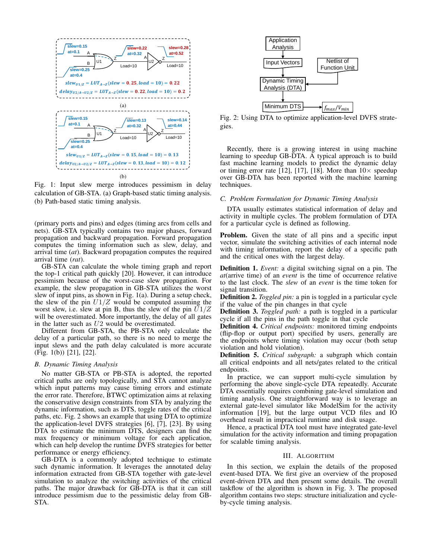

Fig. 1: Input slew merge introduces pessimism in delay calculation of GB-STA. (a) Graph-based static timing analysis. (b) Path-based static timing analysis.

(primary ports and pins) and edges (timing arcs from cells and nets). GB-STA typically contains two major phases, forward propagation and backward propagation. Forward propagation computes the timing information such as slew, delay, and arrival time (*at*). Backward propagation computes the required arrival time (*rat*).

GB-STA can calculate the whole timing graph and report the top-1 critical path quickly [20]. However, it can introduce pessimism because of the worst-case slew propagation. For example, the slew propagation in GB-STA utilizes the worst slew of input pins, as shown in Fig. 1(a). During a setup check, the slew of the pin  $U1/Z$  would be computed assuming the worst slew, i.e. slew at pin B, thus the slew of the pin  $\overline{U}1/Z$ will be overestimated. More importantly, the delay of all gates in the latter such as U2 would be overestimated.

Different from GB-STA, the PB-STA only calculate the delay of a particular path, so there is no need to merge the input slews and the path delay calculated is more accurate (Fig. 1(b)) [21], [22].

#### *B. Dynamic Timing Analysis*

No matter GB-STA or PB-STA is adopted, the reported critical paths are only topologically, and STA cannot analyze which input patterns may cause timing errors and estimate the error rate. Therefore, BTWC optimization aims at relaxing the conservative design constraints from STA by analyzing the dynamic information, such as DTS, toggle rates of the critical paths, etc. Fig. 2 shows an example that using DTA to optimize the application-level DVFS strategies [6], [7], [23]. By using DTA to estimate the minimum DTS, designers can find the max frequency or minimum voltage for each application, which can help develop the runtime DVFS strategies for better performance or energy efficiency.

GB-DTA is a commonly adopted technique to estimate such dynamic information. It leverages the annotated delay information extracted from GB-STA together with gate-level simulation to analyze the switching activities of the critical paths. The major drawback for GB-DTA is that it can still introduce pessimism due to the pessimistic delay from GB-STA.



Fig. 2: Using DTA to optimize application-level DVFS strategies.

Recently, there is a growing interest in using machine learning to speedup GB-DTA. A typical approach is to build fast machine learning models to predict the dynamic delay or timing error rate [12], [17], [18]. More than  $10\times$  speedup over GB-DTA has been reported with the machine learning techniques.

#### *C. Problem Formulation for Dynamic Timing Analysis*

DTA usually estimates statistical information of delay and activity in multiple cycles. The problem formulation of DTA for a particular cycle is defined as following.

Problem. Given the state of all pins and a specific input vector, simulate the switching activities of each internal node with timing information, report the delay of a specific path and the critical ones with the largest delay.

Definition 1. *Event:* a digital switching signal on a pin. The *at*(arrive time) of an *event* is the time of occurrence relative to the last clock. The *slew* of an *event* is the time token for signal transition.

Definition 2. *Toggled pin:* a pin is toggled in a particular cycle if the value of the pin changes in that cycle

Definition 3. *Toggled path:* a path is toggled in a particular cycle if all the pins in the path toggle in that cycle

Definition 4. *Critical endpoints:* monitored timing endpoints (flip-flop or output port) specified by users, generally are the endpoints where timing violation may occur (both setup violation and hold violation).

Definition 5. *Critical subgraph:* a subgraph which contain all critical endpoints and all nets/gates related to the critical endpoints.

In practice, we can support multi-cycle simulation by performing the above single-cycle DTA repeatedly. Accurate DTA essentially requires combining gate-level simulation and timing analysis. One straightforward way is to leverage an external gate-level simulator like ModelSim for the activity information [19], but the large output VCD files and IO overhead result in impractical runtime and disk usage.

Hence, a practical DTA tool must have integrated gate-level simulation for the activity information and timing propagation for scalable timing analysis.

#### III. ALGORITHM

In this section, we explain the details of the proposed event-based DTA. We first give an overview of the proposed event-driven DTA and then present some details. The overall taskflow of the algorithm is shown in Fig. 3. The proposed algorithm contains two steps: structure initialization and cycleby-cycle timing analysis.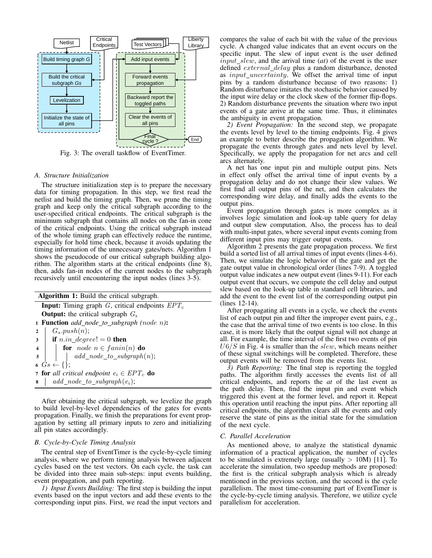

Fig. 3: The overall taskflow of EventTimer.

# *A. Structure Initialization*

The structure initialization step is to prepare the necessary data for timing propagation. In this step, we first read the netlist and build the timing graph. Then, we prune the timing graph and keep only the critical subgraph according to the user-specified critical endpoints. The critical subgraph is the minimum subgraph that contains all nodes on the fan-in cone of the critical endpoints. Using the critical subgraph instead of the whole timing graph can effectively reduce the runtime, especially for hold time check, because it avoids updating the timing information of the unnecessary gates/nets. Algorithm 1 shows the pseudocode of our critical subgraph building algorithm. The algorithm starts at the critical endpoints (line 8), then, adds fan-in nodes of the current nodes to the subgraph recursively until encountering the input nodes (lines 3-5).

|                | <b>Algorithm 1:</b> Build the critical subgraph.                                                     |  |  |  |  |  |  |  |
|----------------|------------------------------------------------------------------------------------------------------|--|--|--|--|--|--|--|
|                | <b>Input:</b> Timing graph G, critical endpoints $EPT_c$                                             |  |  |  |  |  |  |  |
|                | <b>Output:</b> the critical subgraph $G_s$                                                           |  |  |  |  |  |  |  |
|                | 1 Function add_node_to_subgraph (node n):                                                            |  |  |  |  |  |  |  |
| $\overline{2}$ | $G_s.push(n);$                                                                                       |  |  |  |  |  |  |  |
|                | $\mathbf{a}$   if $n.in\_degree! = 0$ then                                                           |  |  |  |  |  |  |  |
|                | 4 <b>for</b> node $n \in f_{\text{anin}(n)}$ <b>do</b><br>5 <b>do</b><br><i>dd_node_to_subgraph(</i> |  |  |  |  |  |  |  |
|                | $\vert$ $\vert$ $add\_node\_to\_subgraph(n);$                                                        |  |  |  |  |  |  |  |
|                | $\bullet$ $Gs \leftarrow \{\};$                                                                      |  |  |  |  |  |  |  |
|                | 7 for all critical endpoint $e_i \in EPT_c$ do                                                       |  |  |  |  |  |  |  |
|                | $\bullet \quad \text{add\_node\_to\_subgraph}(e_i);$                                                 |  |  |  |  |  |  |  |

After obtaining the critical subgraph, we levelize the graph to build level-by-level dependencies of the gates for events propagation. Finally, we finish the preparations for event propagation by setting all primary inputs to zero and initializing all pin states accordingly.

# *B. Cycle-by-Cycle Timing Analysis*

The central step of EventTimer is the cycle-by-cycle timing analysis, where we perform timing analysis between adjacent cycles based on the test vectors. On each cycle, the task can be divided into three main sub-steps: input events building, event propagation, and path reporting.

*1) Input Events Building:* The first step is building the input events based on the input vectors and add these events to the corresponding input pins. First, we read the input vectors and

compares the value of each bit with the value of the previous cycle. A changed value indicates that an event occurs on the specific input. The slew of input event is the user defined  $input\_slew$ , and the arrival time  $(at)$  of the event is the user defined *external\_delay* plus a random disturbance, denoted as  $input\_uncertainty$ . We offset the arrival time of input pins by a random disturbance because of two reasons: 1) Random disturbance imitates the stochastic behavior caused by the input wire delay or the clock skew of the former flip-flops. 2) Random disturbance prevents the situation where two input events of a gate arrive at the same time. Thus, it eliminates the ambiguity in event propagation.

*2) Event Propagation:* In the second step, we propagate the events level by level to the timing endpoints. Fig. 4 gives an example to better describe the propagation algorithm. We propagate the events through gates and nets level by level. Specifically, we apply the propagation for net arcs and cell arcs alternately.

A net has one input pin and multiple output pins. Nets in effect only offset the arrival time of input events by a propagation delay and do not change their slew values. We first find all output pins of the net, and then calculates the corresponding wire delay, and finally adds the events to the output pins.

Event propagation through gates is more complex as it involves logic simulation and look-up table query for delay and output slew computation. Also, the process has to deal with multi-input gates, where several input events coming from different input pins may trigger output events.

Algorithm 2 presents the gate propagation process. We first build a sorted list of all arrival times of input events (lines 4-6). Then, we simulate the logic behavior of the gate and get the gate output value in chronological order (lines 7-9). A toggled output value indicates a new output event (lines 9-11). For each output event that occurs, we compute the cell delay and output slew based on the look-up table in standard cell libraries, and add the event to the event list of the corresponding output pin (lines 12-14).

After propagating all events in a cycle, we check the events list of each output pin and filter the improper event pairs, e.g., the case that the arrival time of two events is too close. In this case, it is more likely that the output signal will not change at all. For example, the time interval of the first two events of pin  $U6/S$  in Fig. 4 is smaller than the slew, which means neither of these signal switchings will be completed. Therefore, these output events will be removed from the events list.

*3) Path Reporting:* The final step is reporting the toggled paths. The algorithm firstly accesses the events list of all critical endpoints, and reports the *at* of the last event as the path delay. Then, find the input pin and event which triggered this event at the former level, and report it. Repeat this operation until reaching the input pins. After reporting all critical endpoints, the algorithm clears all the events and only reserve the state of pins as the initial state for the simulation of the next cycle.

#### *C. Parallel Acceleration*

As mentioned above, to analyze the statistical dynamic information of a practical application, the number of cycles to be simulated is extremely large (usually  $> 10M$ ) [11]. To accelerate the simulation, two speedup methods are proposed: the first is the critical subgraph analysis which is already mentioned in the previous section, and the second is the cycle parallelism. The most time-consuming part of EventTimer is the cycle-by-cycle timing analysis. Therefore, we utilize cycle parallelism for acceleration.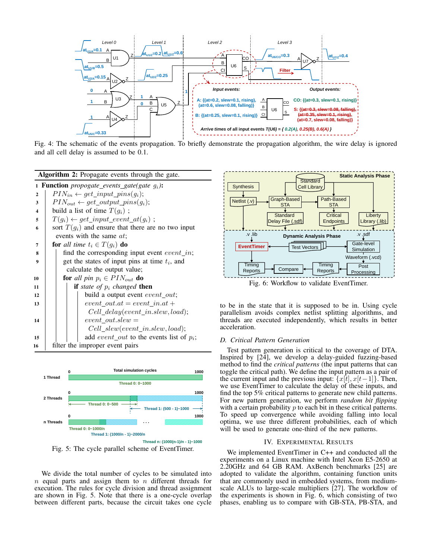

Fig. 4: The schematic of the events propagation. To briefly demonstrate the propagation algorithm, the wire delay is ignored and all cell delay is assumed to be 0.1.





Fig. 5: The cycle parallel scheme of EventTimer.

We divide the total number of cycles to be simulated into  $n$  equal parts and assign them to  $n$  different threads for execution. The rules for cycle division and thread assignment are shown in Fig. 5. Note that there is a one-cycle overlap between different parts, because the circuit takes one cycle



Fig. 6: Workflow to validate EventTimer.

to be in the state that it is supposed to be in. Using cycle parallelism avoids complex netlist splitting algorithms, and threads are executed independently, which results in better acceleration.

# *D. Critical Pattern Generation*

Test pattern generation is critical to the coverage of DTA. Inspired by  $[24]$ , we develop a delay-guided fuzzing-based method to find the *critical patterns* (the input patterns that can toggle the critical path). We define the input pattern as a pair of the current input and the previous input:  $\{x[t], x[t-1]\}$ . Then, we use EventTimer to calculate the delay of these inputs, and find the top 5% critical patterns to generate new child patterns. For new pattern generation, we perform *random bit flipping* with a certain probability  $p$  to each bit in these critical patterns. To speed up convergence while avoiding falling into local optima, we use three different probabilities, each of which will be used to generate one-third of the new patterns.

#### IV. EXPERIMENTAL RESULTS

We implemented EventTimer in C++ and conducted all the experiments on a Linux machine with Intel Xeon E5-2650 at 2.20GHz and 64 GB RAM. AxBench benchmarks [25] are adopted to validate the algorithm, containing function units that are commonly used in embedded systems, from mediumscale ALUs to large-scale multipliers [27]. The workflow of the experiments is shown in Fig. 6, which consisting of two phases, enabling us to compare with GB-STA, PB-STA, and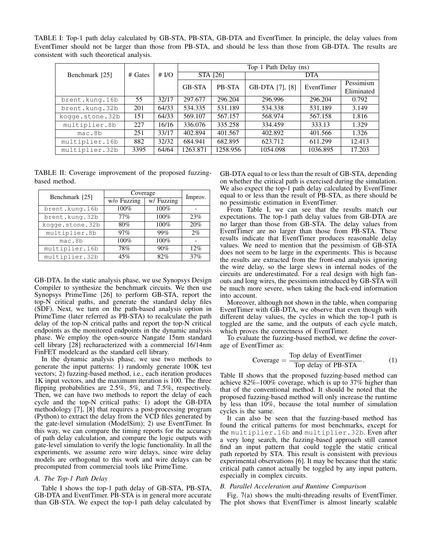TABLE I: Top-1 path delay calculated by GB-STA, PB-STA, GB-DTA and EventTimer. In principle, the delay values from EventTimer should not be larger than those from PB-STA, and should be less than those from GB-DTA. The results are consistent with such theoretical analysis.

|                 |         |         | Top 1 Path Delay (ns) |               |                 |            |            |  |
|-----------------|---------|---------|-----------------------|---------------|-----------------|------------|------------|--|
| Benchmark [25]  | # Gates | # $I/O$ | STA [26]              |               | <b>DTA</b>      |            |            |  |
|                 |         |         | <b>GB-STA</b>         | <b>PB-STA</b> | GB-DTA [7], [8] | EventTimer | Pessimism  |  |
|                 |         |         |                       |               |                 |            | Eliminated |  |
| brent.kung.16b  | 55      | 32/17   | 297.677               | 296.204       | 296.996         | 296.204    | 0.792      |  |
| brent.kung.32b  | 201     | 64/33   | 534.335               | 531.189       | 534.338         | 531.189    | 3.149      |  |
| koqqe.stone.32b | 151     | 64/33   | 569.107               | 567.157       | 568.974         | 567.158    | 1.816      |  |
| multiplier.8b   | 227     | 16/16   | 336.076               | 335.258       | 334.459         | 333.13     | 1.329      |  |
| mac.8b          | 251     | 33/17   | 402.894               | 401.567       | 402.892         | 401.566    | 1.326      |  |
| multiplier.16b  | 882     | 32/32   | 684.941               | 682.895       | 623.712         | 611.299    | 12.413     |  |
| multiplier.32b  | 3395    | 64/64   | 1263.871              | 1258.956      | 1054.098        | 1036.895   | 17.203     |  |

TABLE II: Coverage improvement of the proposed fuzzingbased method.

| Benchmark [25]  | Coverage    | Improv.    |       |
|-----------------|-------------|------------|-------|
|                 | w/o Fuzzing | w/ Fuzzing |       |
| brent.kung.16b  | 100%        | 100%       |       |
| brent.kung.32b  | 77%         | 100%       | 23%   |
| kogge.stone.32b | 80%         | 100%       | 20%   |
| multiplier.8b   | 97%         | 99%        | $2\%$ |
| mac.8b          | 100%        | 100%       |       |
| multiplier.16b  | 78%         | 90%        | 12%   |
| multiplier.32b  | 45%         | 82%        | 37%   |

GB-DTA. In the static analysis phase, we use Synopsys Design Compiler to synthesize the benchmark circuits. We then use Synopsys PrimeTime [26] to perform GB-STA, report the top-N critical paths, and generate the standard delay files (SDF). Next, we turn on the path-based analysis option in PrimeTime (later referred as PB-STA) to recalculate the path delay of the top-N critical paths and report the top-N critical endpoints as the monitored endpoints in the dynamic analysis phase. We employ the open-source Nangate 15nm standard cell library [28] recharacterized with a commercial 16/14nm FinFET modelcard as the standard cell library.

In the dynamic analysis phase, we use two methods to generate the input patterns: 1) randomly generate 100K test vectors; 2) fuzzing-based method, i.e., each iteration produces 1K input vectors, and the maximum iteration is 100. The three flipping probabilities are 2.5%, 5%, and 7.5%, respectively. Then, we can have two methods to report the delay of each cycle and the top-N critical paths: 1) adopt the GB-DTA methodology [7], [8] that requires a post-processing program (Python) to extract the delay from the VCD files generated by the gate-level simulation (ModelSim); 2) use EventTimer. In this way, we can compare the timing reports for the accuracy of path delay calculation, and compare the logic outputs with gate-level simulation to verify the logic functionality. In all the experiments, we assume zero wire delays, since wire delay models are orthogonal to this work and wire delays can be precomputed from commercial tools like PrimeTime.

### *A. The Top-1 Path Delay*

Table I shows the top-1 path delay of GB-STA, PB-STA, GB-DTA and EventTimer. PB-STA is in general more accurate than GB-STA. We expect the top-1 path delay calculated by

GB-DTA equal to or less than the result of GB-STA, depending on whether the critical path is exercised during the simulation. We also expect the top-1 path delay calculated by EventTimer equal to or less than the result of PB-STA, as there should be no pessimistic estimation in EventTimer.

From Table I, we can see that the results match our expectations. The top-1 path delay values from GB-DTA are no larger than those from GB-STA. The delay values from EventTimer are no larger than those from PB-STA. These results indicate that EventTimer produces reasonable delay values. We need to mention that the pessimism of GB-STA does not seem to be large in the experiments. This is because the results are extracted from the front-end analysis ignoring the wire delay, so the large slews in internal nodes of the circuits are underestimated. For a real design with high fanouts and long wires, the pessimism introduced by GB-STA will be much more severe, when taking the back-end information into account.

Moreover, although not shown in the table, when comparing EventTimer with GB-DTA, we observe that even though with different delay values, the cycles in which the top-1 path is toggled are the same, and the outputs of each cycle match, which proves the correctness of EventTimer.

To evaluate the fuzzing-based method, we define the coverage of EventTimer as:

$$
Coverage = \frac{\text{Top delay of EventTimer}}{\text{Top delay of PB-STA}}.\tag{1}
$$

Table II shows that the proposed fuzzing-based method can achieve 82%–100% coverage, which is up to 37% higher than that of the conventional method. It should be noted that the proposed fuzzing-based method will only increase the runtime by less than  $10\%$ , because the total number of simulation cycles is the same.

It can also be seen that the fuzzing-based method has found the critical patterns for most benchmarks, except for the multiplier.16b and multiplier.32b. Even after a very long search, the fuzzing-based approach still cannot find an input pattern that could toggle the static critical path reported by STA. This result is consistent with previous experimental observations [6]. It may be because that the static critical path cannot actually be toggled by any input pattern, especially in complex circuits.

#### *B. Parallel Acceleration and Runtime Comparison*

Fig. 7(a) shows the multi-threading results of EventTimer. The plot shows that EventTimer is almost linearly scalable